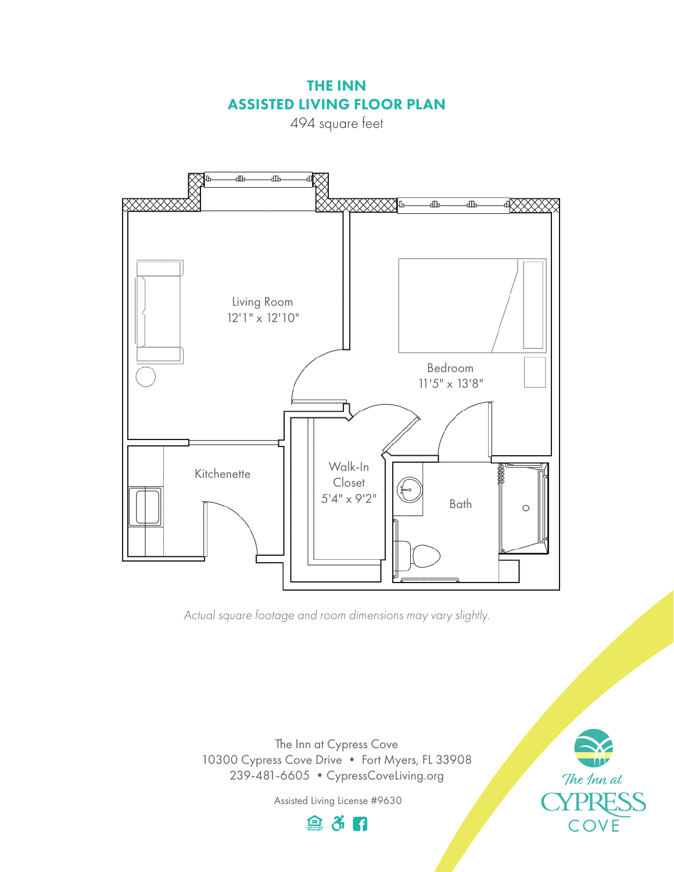THE INN ASSISTED LIVING FLOOR PLAN

494 square feet



*Actual square footage and room dimensions may vary slightly.*

The Inn at Cypress Cove 10300 Cypress Cove Drive • Fort Myers, FL 33908 239-481-6605 •CypressCoveLiving.org

> Assisted Living License #9630 自杀日

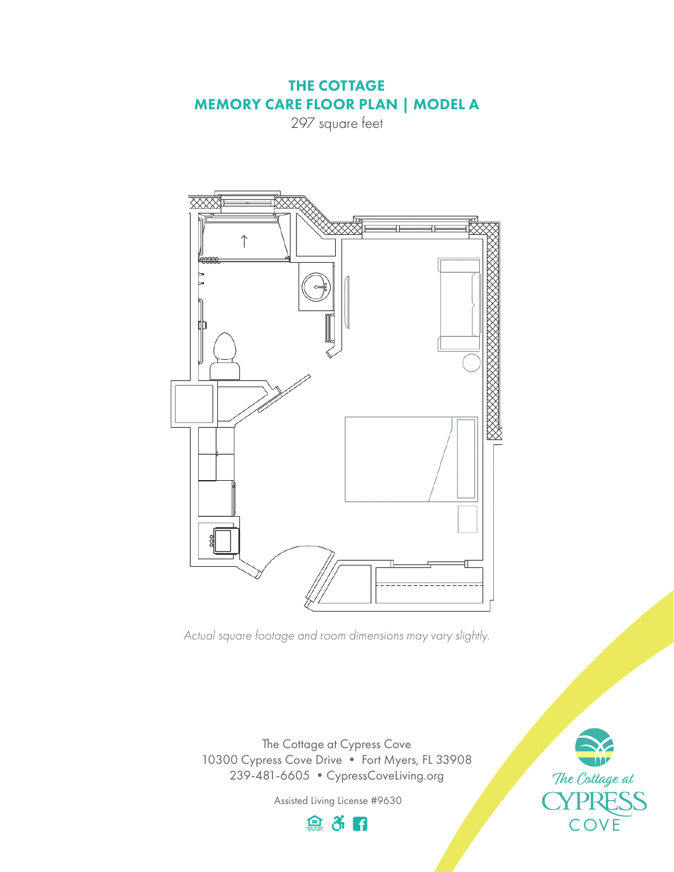## THE COTTAGE MEMORY CARE FLOOR PLAN | MODEL A

297 square feet



*Actual square footage and room dimensions may vary slightly.*

The Cottage at Cypress Cove 10300 Cypress Cove Drive • Fort Myers, FL 33908 239-481-6605 •CypressCoveLiving.org

Assisted Living License #9630



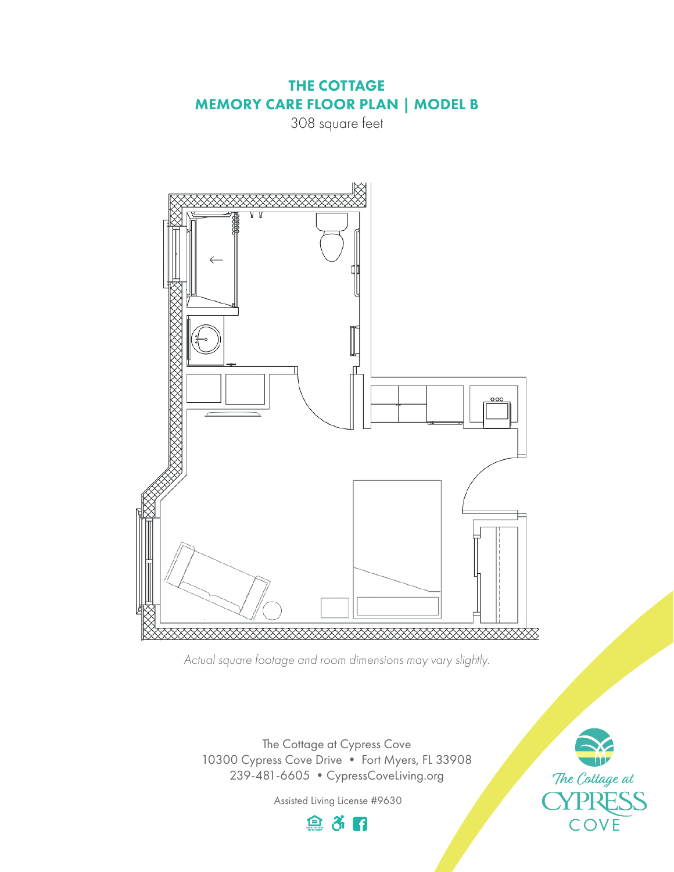## THE COTTAGE MEMORY CARE FLOOR PLAN | MODEL B

308 square feet



*Actual square footage and room dimensions may vary slightly.*

The Cottage at Cypress Cove 10300 Cypress Cove Drive • Fort Myers, FL 33908 239-481-6605 •CypressCoveLiving.org

Assisted Living License #9630



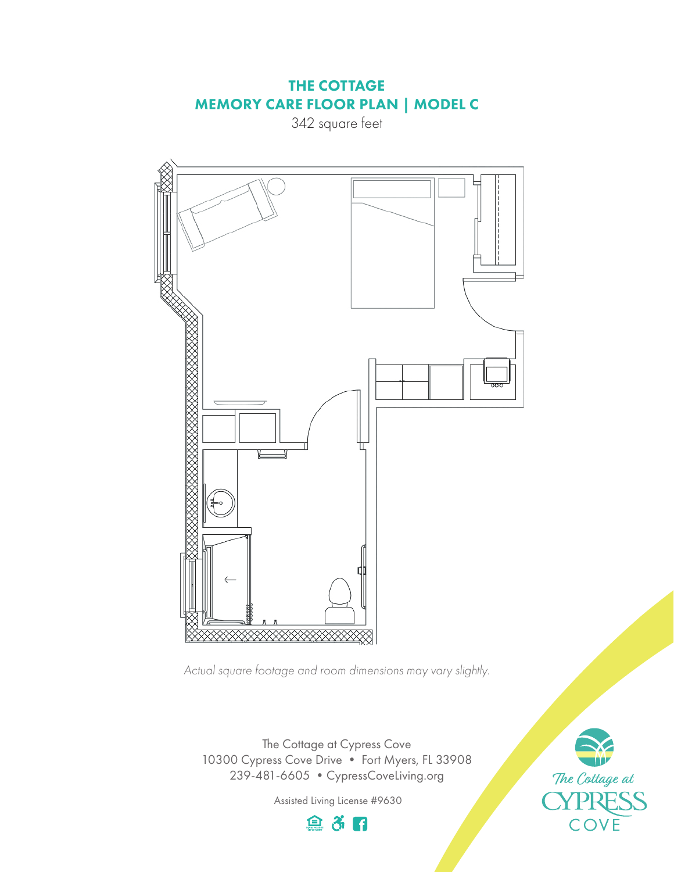## THE COTTAGE MEMORY CARE FLOOR PLAN | MODEL C

342 square feet



*Actual square footage and room dimensions may vary slightly.*

The Cottage at Cypress Cove 10300 Cypress Cove Drive • Fort Myers, FL 33908 239-481-6605 •CypressCoveLiving.org

Assisted Living License #9630

自杀日